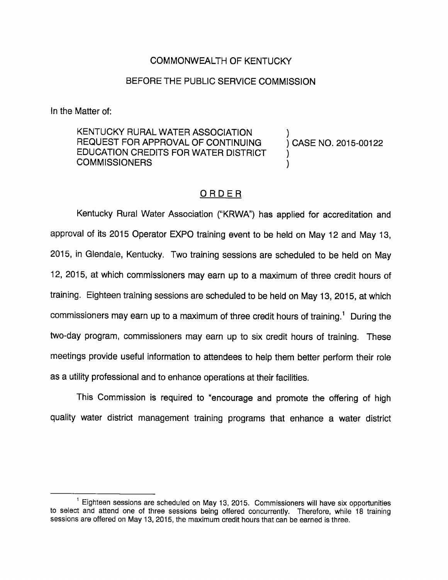## COMMONWEALTH OF KENTUCKY

## BEFORE THE PUBLIC SERVICE COMMISSION

In the Matter of:

KENTUCKY RURAL WATER ASSOCIATION ) REQUEST FOR APPROVAL OF CONTINUING ) CASE NO. 2015-00122 EDUCATION CREDITS FOR WATER DISTRICT **COMMISSIONERS** 

## ORDER

Kentucky Rural Water Association ("KRWA") has applied for accreditation and approval of its 2015 Operator EXPO training event to be held on May 12 and May 13, 2015, in Glendale, Kentucky. Two training sessions are scheduled to be held on May 12, 2015, at which commissioners may earn up to a maximum of three credit hours of training. Eighteen training sessions are scheduled to be held on May 13, 2015, at which commissioners may earn up to a maximum of three credit hours of training.<sup>1</sup> During the two-day program, commissioners may earn up to six credit hours of training. These meetings provide useful information to attendees to help them better perform their role as a utility professional and to enhance operations at their facilities.

This Commission is required to "encourage and promote the offering of high quality water district management training programs that enhance a water district

 $<sup>1</sup>$  Eighteen sessions are scheduled on May 13, 2015. Commissioners will have six opportunities</sup> to select and attend one of three sessions being offered concurrently. Therefore, while 18 training sessions are offered on May 13, 2015, the maximum credit hours that can be earned is three.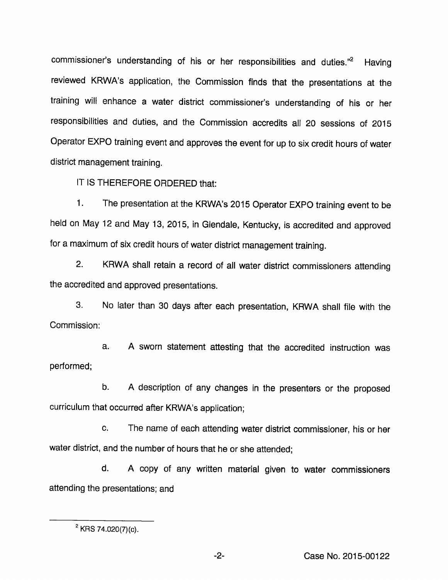commissioner's understanding of his or her responsibilities and duties."<sup>2</sup> Having reviewed KRWA's application, the Commission finds that the presentations at the training will enhance a water district commissioner's understanding of his or her responsibilities and duties, and the Commission accredits all 20 sessions of 2015 Operator EXPO training event and approves the event for up to six credit hours of water district management training.

IT IS THEREFORE ORDERED that:

1. The presentation at the KRWA's 2015 Operator EXPO training event to be held on May 12 and May 13, 2015, in Glendale, Kentucky, is accredited and approved for a maximum of six credit hours of water district management training.

2. KRWA shall retain a record of all water district commissioners attending the accredited and approved presentations.

3. No later than 30 days after each presentation, KRWA shall file with the Commission:

a. A sworn statement attesting that the accredited instruction was performed;

b. A description of any changes in the presenters or the proposed curriculum that occurred after KRWA's application;

c. The name of each attending water district commissioner, his or her water district, and the number of hours that he or she attended;

d. A copy of any written material given to water commissioners attending the presentations; and

 $-2-$ 

 $2$  KRS 74.020(7)(c).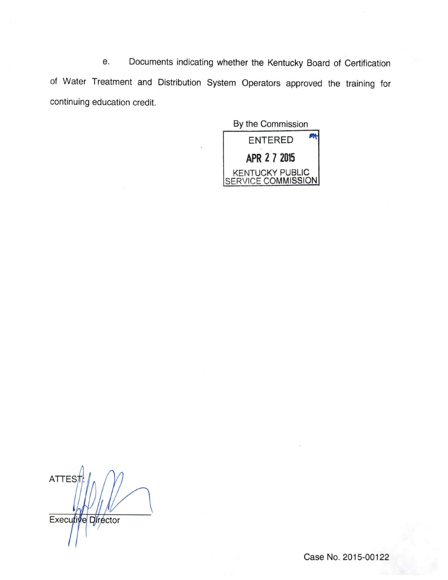e. Documents indicating whether the Kentucky Board of Certification of Water Treatment and Distribution System Operators approved the training for continuing education credit.

By the Commission ENTERED APR 2 7 2015 KENTUCKY PUBLIC SERVICE COMMISSION

**ATTES** Executive Director

Case No. 2015-00122